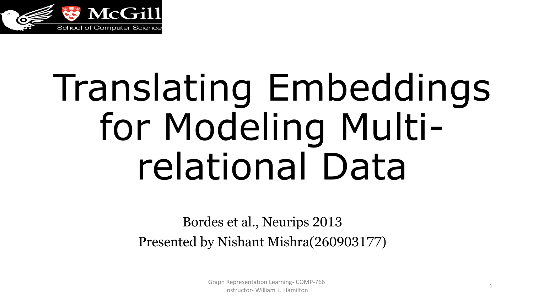

# Translating Embeddings for Modeling Multirelational Data

#### Bordes et al., Neurips 2013 Presented by Nishant Mishra(260903177)

Graph Representation Learning- COMP-766 Instructor- William L. Hamilton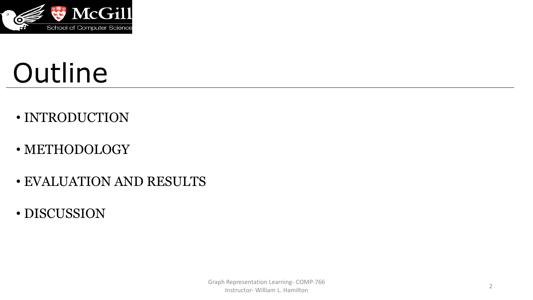

# Outline

- INTRODUCTION
- METHODOLOGY
- EVALUATION AND RESULTS
- DISCUSSION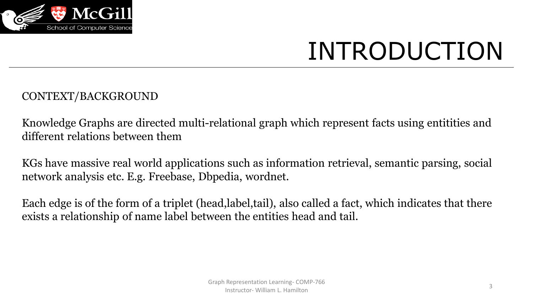

#### CONTEXT/BACKGROUND

Knowledge Graphs are directed multi-relational graph which represent facts using entitities and different relations between them

KGs have massive real world applications such as information retrieval, semantic parsing, social network analysis etc. E.g. Freebase, Dbpedia, wordnet.

Each edge is of the form of a triplet (head,label,tail), also called a fact, which indicates that there exists a relationship of name label between the entities head and tail.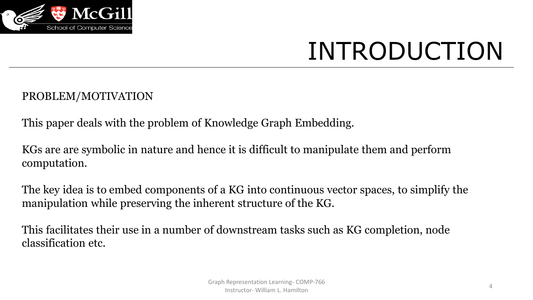

#### PROBLEM/MOTIVATION

This paper deals with the problem of Knowledge Graph Embedding.

KGs are are symbolic in nature and hence it is difficult to manipulate them and perform computation.

The key idea is to embed components of a KG into continuous vector spaces, to simplify the manipulation while preserving the inherent structure of the KG.

This facilitates their use in a number of downstream tasks such as KG completion, node classification etc.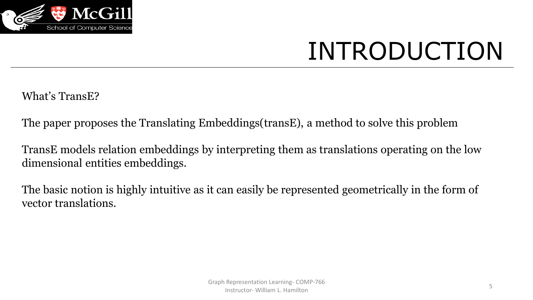

What's TransE?

The paper proposes the Translating Embeddings(transE), a method to solve this problem

TransE models relation embeddings by interpreting them as translations operating on the low dimensional entities embeddings.

The basic notion is highly intuitive as it can easily be represented geometrically in the form of vector translations.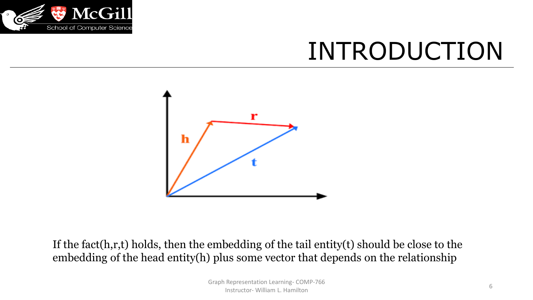



If the fact(h,r,t) holds, then the embedding of the tail entity(t) should be close to the embedding of the head entity(h) plus some vector that depends on the relationship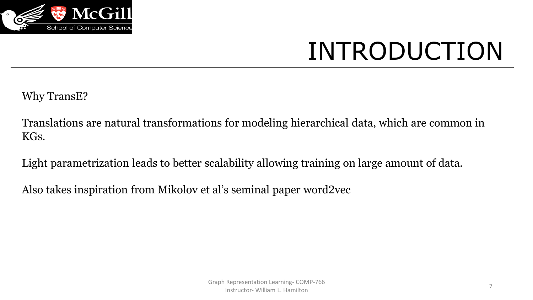

Why TransE?

Translations are natural transformations for modeling hierarchical data, which are common in KGs.

Light parametrization leads to better scalability allowing training on large amount of data.

Also takes inspiration from Mikolov et al's seminal paper word2vec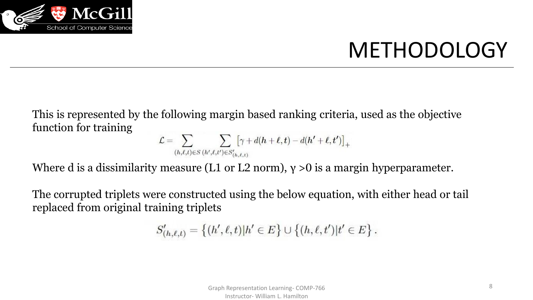

#### METHODOLOGY

This is represented by the following margin based ranking criteria, used as the objective function for training

$$
\mathcal{L} = \sum_{(h,\ell,t) \in S} \sum_{(h',\ell,t') \in S'_{(h,\ell,t)}} [\gamma + d(h+\ell,t) - d(h'+\ell,t')]_+
$$

Where d is a dissimilarity measure (L1 or L2 norm),  $\gamma > 0$  is a margin hyperparameter.

The corrupted triplets were constructed using the below equation, with either head or tail replaced from original training triplets

$$
S'_{(h,\ell,t)} = \{(h',\ell,t)|h' \in E\} \cup \{(h,\ell,t')|t' \in E\}.
$$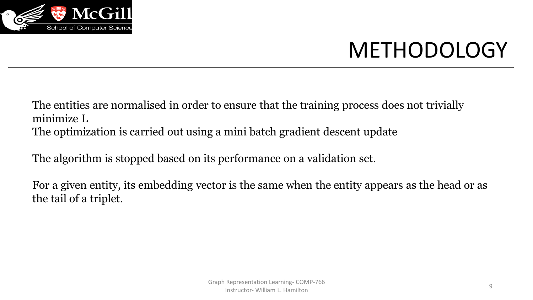

#### METHODOLOGY

The entities are normalised in order to ensure that the training process does not trivially minimize L The optimization is carried out using a mini batch gradient descent update

The algorithm is stopped based on its performance on a validation set.

For a given entity, its embedding vector is the same when the entity appears as the head or as the tail of a triplet.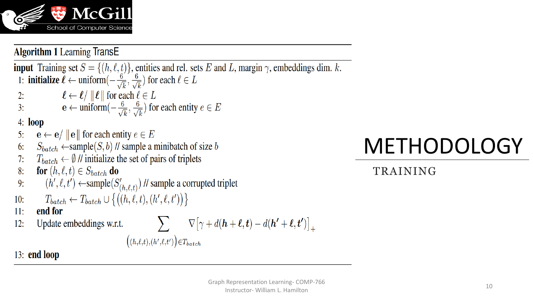

**Algorithm 1 Learning TransE** 

**input** Training set  $S = \{(h, \ell, t)\}\$ , entities and rel. sets E and L, margin  $\gamma$ , embeddings dim. k. 1: **initialize**  $\ell \leftarrow$  uniform $\left(-\frac{6}{\sqrt{k}}, \frac{6}{\sqrt{k}}\right)$  for each  $\ell \in L$  $\ell \leftarrow \ell / \|\ell\|$  for each  $\ell \in L$  $2:$  $\mathbf{e} \leftarrow \text{uniform}(-\frac{6}{\sqrt{k}}, \frac{6}{\sqrt{k}})$  for each entity  $e \in E$  $3:$  $4: **loop**$  $\mathbf{e} \leftarrow \mathbf{e} / ||\mathbf{e}||$  for each entity  $e \in E$  $5:$  $S_{batch} \leftarrow$ sample $(S, b)$  // sample a minibatch of size b  $6:$  $T_{batch} \leftarrow \emptyset$  // initialize the set of pairs of triplets  $7:$ **for**  $(h, \ell, t) \in S_{batch}$  do 8:  $(h', \ell, t') \leftarrow$ sample $(S'_{(h, \ell, t)})$  // sample a corrupted triplet  $9:$  $T_{batch} \leftarrow T_{batch} \cup \{(h, \ell, t), (h', \ell, t')\}$  $10:$ end for  $11:$ Update embeddings w.r.t.  $\nabla[\gamma + d(\mathbf{h} + \ell, t) - d(\mathbf{h}' + \ell, t')]_{+}$  $12:$  $((h,\ell,t),(h',\ell,t'))$  $\in T_{batch}$ 

# METHODOLOGY

TRAINING

 $13:$  end loop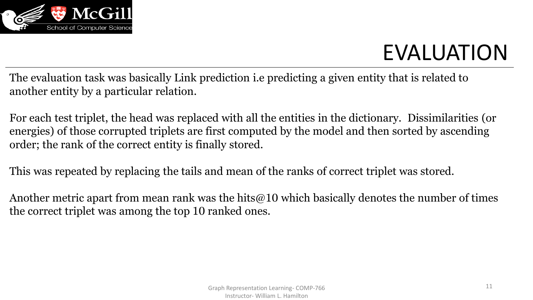

The evaluation task was basically Link prediction i.e predicting a given entity that is related to another entity by a particular relation.

For each test triplet, the head was replaced with all the entities in the dictionary. Dissimilarities (or energies) of those corrupted triplets are first computed by the model and then sorted by ascending order; the rank of the correct entity is finally stored.

This was repeated by replacing the tails and mean of the ranks of correct triplet was stored.

Another metric apart from mean rank was the hits@10 which basically denotes the number of times the correct triplet was among the top 10 ranked ones.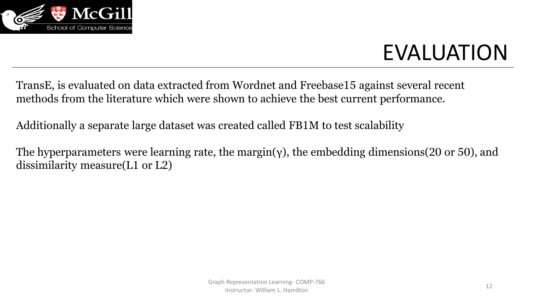

TransE, is evaluated on data extracted from Wordnet and Freebase15 against several recent methods from the literature which were shown to achieve the best current performance.

Additionally a separate large dataset was created called FB1M to test scalability

The hyperparameters were learning rate, the margin(γ), the embedding dimensions (20 or 50), and dissimilarity measure(L1 or L2)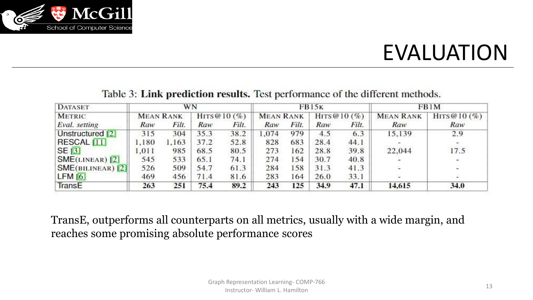

| <b>DATASET</b>                  | WN               |       |                  |       | <b>FB15K</b>     |       |                  |       | FB1M             |                          |
|---------------------------------|------------------|-------|------------------|-------|------------------|-------|------------------|-------|------------------|--------------------------|
| <b>METRIC</b>                   | <b>MEAN RANK</b> |       | HITS @ 10 $(\%)$ |       | <b>MEAN RANK</b> |       | HITS @ 10 $(\%)$ |       | <b>MEAN RANK</b> | HITS @ $10(%)$           |
| Eval. setting                   | Raw              | Filt. | Raw              | Filt. | Raw              | Filt. | Raw              | Filt. | Raw              | Raw                      |
| Unstructured  2                 | 315              | 304   | 35.3             | 38.2  | .074             | 979   | 4.5              | 6.3   | 15,139           | 2.9                      |
| RESCAL <sub>111</sub>           | 1.180            | 1.163 | 37.2             | 52.8  | 828              | 683   | 28.4             | 44.1  |                  |                          |
| SE[3]                           | 1.011            | 985   | 68.5             | 80.5  | 273              | 162   | 28.8             | 39.8  | 22.044           | 17.5                     |
| $ \text{SME}(\text{LINEAR}) 2 $ | 545              | 533   | 65.1             | 74.1  | 274              | 154   | 30.7             | 40.8  |                  | $\overline{\phantom{a}}$ |
| SME(BILINEAR) 2                 | 526              | 509   | 54.7             | 61.3  | 284              | 158   | 31.3             | 41.3  | ÷.               | 2                        |
| LFM[6]                          | 469              | 456   | 71.4             | 81.6  | 283              | 164   | 26.0             | 33.1  |                  |                          |
| TransE                          | 263              | 251   | 75.4             | 89.2  | 243              | 125   | 34.9             | 47.1  | 14,615           | 34.0                     |

Table 3: Link prediction results. Test performance of the different methods.

TransE, outperforms all counterparts on all metrics, usually with a wide margin, and reaches some promising absolute performance scores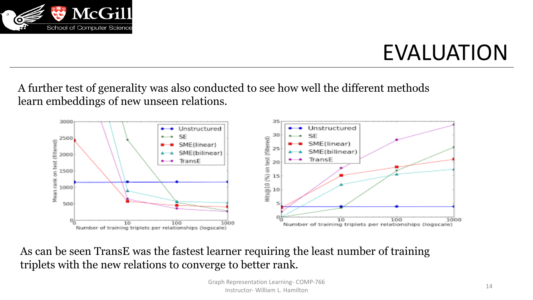

A further test of generality was also conducted to see how well the different methods learn embeddings of new unseen relations.



As can be seen TransE was the fastest learner requiring the least number of training triplets with the new relations to converge to better rank.